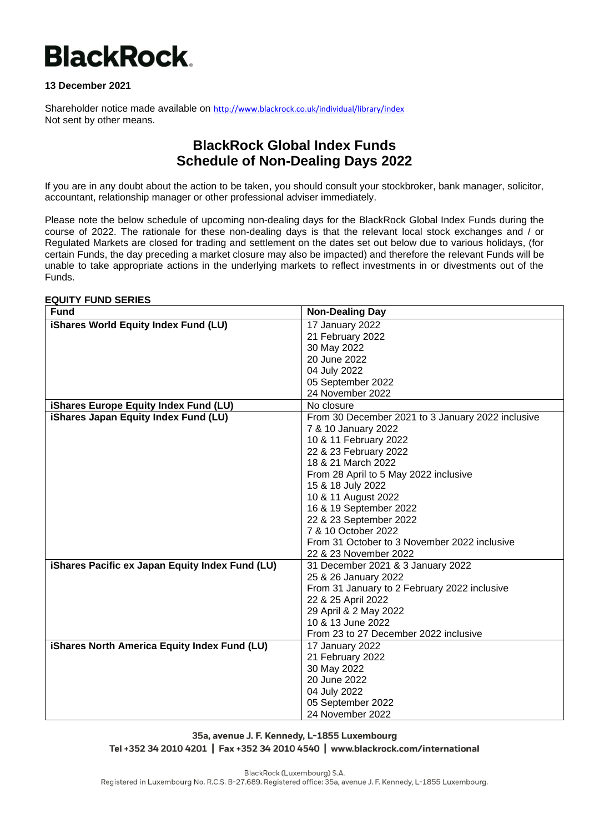# **BlackRock.**

## **13 December 2021**

Shareholder notice made available on <http://www.blackrock.co.uk/individual/library/index> Not sent by other means.

# **BlackRock Global Index Funds Schedule of Non-Dealing Days 2022**

If you are in any doubt about the action to be taken, you should consult your stockbroker, bank manager, solicitor, accountant, relationship manager or other professional adviser immediately.

Please note the below schedule of upcoming non-dealing days for the BlackRock Global Index Funds during the course of 2022. The rationale for these non-dealing days is that the relevant local stock exchanges and / or Regulated Markets are closed for trading and settlement on the dates set out below due to various holidays, (for certain Funds, the day preceding a market closure may also be impacted) and therefore the relevant Funds will be unable to take appropriate actions in the underlying markets to reflect investments in or divestments out of the Funds.

#### **EQUITY FUND SERIES**

| <b>Fund</b>                                     | <b>Non-Dealing Day</b>                            |
|-------------------------------------------------|---------------------------------------------------|
| iShares World Equity Index Fund (LU)            | 17 January 2022                                   |
|                                                 | 21 February 2022                                  |
|                                                 | 30 May 2022                                       |
|                                                 | 20 June 2022                                      |
|                                                 | 04 July 2022                                      |
|                                                 | 05 September 2022                                 |
|                                                 | 24 November 2022                                  |
| iShares Europe Equity Index Fund (LU)           | No closure                                        |
| iShares Japan Equity Index Fund (LU)            | From 30 December 2021 to 3 January 2022 inclusive |
|                                                 | 7 & 10 January 2022                               |
|                                                 | 10 & 11 February 2022                             |
|                                                 | 22 & 23 February 2022                             |
|                                                 | 18 & 21 March 2022                                |
|                                                 | From 28 April to 5 May 2022 inclusive             |
|                                                 | 15 & 18 July 2022                                 |
|                                                 | 10 & 11 August 2022                               |
|                                                 | 16 & 19 September 2022                            |
|                                                 | 22 & 23 September 2022                            |
|                                                 | 7 & 10 October 2022                               |
|                                                 | From 31 October to 3 November 2022 inclusive      |
|                                                 | 22 & 23 November 2022                             |
| iShares Pacific ex Japan Equity Index Fund (LU) | 31 December 2021 & 3 January 2022                 |
|                                                 | 25 & 26 January 2022                              |
|                                                 | From 31 January to 2 February 2022 inclusive      |
|                                                 | 22 & 25 April 2022                                |
|                                                 | 29 April & 2 May 2022                             |
|                                                 | 10 & 13 June 2022                                 |
|                                                 | From 23 to 27 December 2022 inclusive             |
| iShares North America Equity Index Fund (LU)    | 17 January 2022                                   |
|                                                 | 21 February 2022                                  |
|                                                 | 30 May 2022                                       |
|                                                 | 20 June 2022                                      |
|                                                 | 04 July 2022                                      |
|                                                 | 05 September 2022                                 |
|                                                 | 24 November 2022                                  |

35a, avenue J. F. Kennedy, L-1855 Luxembourg Tel +352 34 2010 4201 | Fax +352 34 2010 4540 | www.blackrock.com/international